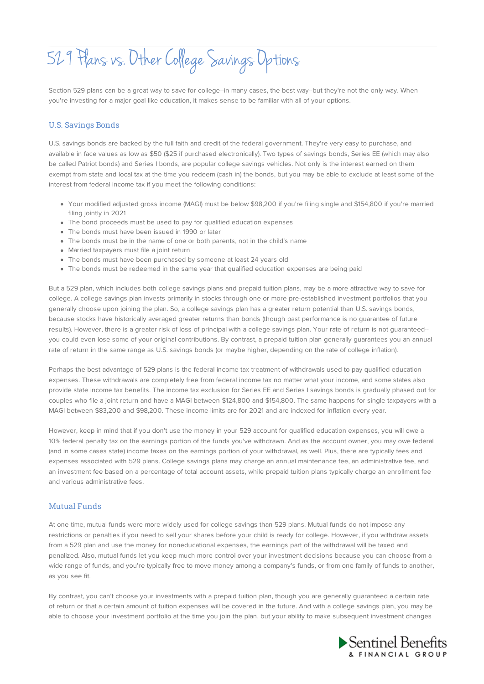529 Plans vs. Other College Savings Options

Section 529 plans can be a great way to save for college--in many cases, the best way--but they're not the only way. When you're investing for a major goal like education, it makes sense to be familiar with all of your options.

#### U.S. Savings Bonds

U.S. savings bonds are backed by the full faith and credit of the federal government. They're very easy to purchase, and available in face values as low as \$50 (\$25 if purchased electronically). Two types of savings bonds, Series EE (which may also be called Patriot bonds) and Series I bonds, are popular college savings vehicles. Not only is the interest earned on them exempt from state and local tax at the time you redeem (cash in) the bonds, but you may be able to exclude at least some of the interest from federal income tax if you meet the following conditions:

- Your modified adjusted gross income (MAGI) must be below \$98,200 if you're filing single and \$154,800 if you're married filing jointly in 2021
- The bond proceeds must be used to pay for qualified education expenses
- The bonds must have been issued in 1990 or later
- The bonds must be in the name of one or both parents, not in the child's name
- Married taxpayers must file a joint return
- The bonds must have been purchased by someone at least 24 years old
- The bonds must be redeemed in the same year that qualified education expenses are being paid

But a 529 plan, which includes both college savings plans and prepaid tuition plans, may be a more attractive way to save for college. A college savings plan invests primarily in stocks through one or more pre-established investment portfolios that you generally choose upon joining the plan. So, a college savings plan has a greater return potential than U.S. savings bonds, because stocks have historically averaged greater returns than bonds (though past performance is no guarantee of future results). However, there is a greater risk of loss of principal with a college savings plan. Your rate of return is not guaranteed- you could even lose some of your original contributions. By contrast, a prepaid tuition plan generally guarantees you an annual rate of return in the same range as U.S. savings bonds (or maybe higher, depending on the rate of college inflation).

Perhaps the best advantage of 529 plans is the federal income tax treatment of withdrawals used to pay qualified education expenses. These withdrawals are completely free from federal income tax no matter what your income, and some states also provide state income tax benefits. The income tax exclusion for Series EE and Series I savings bonds is gradually phased out for couples who file a joint return and have a MAGI between \$124,800 and \$154,800. The same happens for single taxpayers with a MAGI between \$83,200 and \$98,200. These income limits are for 2021 and are indexed for inflation every year.

However, keep in mind that if you don't use the money in your 529 account for qualified education expenses, you will owe a 10% federal penalty tax on the earnings portion of the funds you've withdrawn. And as the account owner, you may owe federal (and in some cases state) income taxes on the earnings portion of your withdrawal, as well. Plus, there are typically fees and expenses associated with 529 plans. College savings plans may charge an annual maintenance fee, an administrative fee, and an investment fee based on a percentage of total account assets, while prepaid tuition plans typically charge an enrollment fee and various administrative fees.

## Mutual Funds

At one time, mutual funds were more widely used for college savings than 529 plans. Mutual funds do not impose any restrictions or penalties if you need to sell your shares before your child is ready for college. However, if you withdraw assets from a 529 plan and use the money for noneducational expenses, the earnings part of the withdrawal will be taxed and penalized. Also, mutual funds let you keep much more control over your investment decisions because you can choose from a wide range of funds, and you're typically free to move money among a company's funds, or from one family of funds to another, as you see fit.

By contrast, you can't choose your investments with a prepaid tuition plan, though you are generally guaranteed a certain rate of return or that a certain amount of tuition expenses will be covered in the future. And with a college savings plan, you may be able to choose your investment portfolio at the time you join the plan, but your ability to make subsequent investment changes

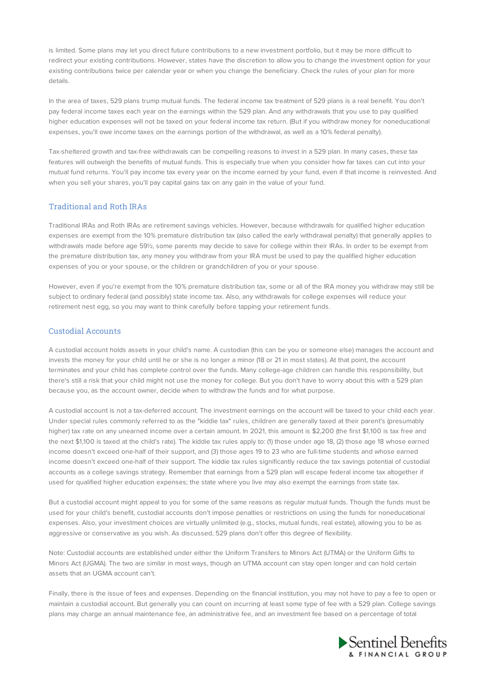is limited. Some plans may let you direct future contributions to a new investment portfolio, but it may be more difficult to redirect your existing contributions. However, states have the discretion to allow you to change the investment option for your existing contributions twice per calendar year or when you change the beneficiary. Check the rules of your plan for more details.

In the area of taxes, 529 plans trump mutual funds. The federal income tax treatment of 529 plans is a real benefit. You don't pay federal income taxes each year on the earnings within the 529 plan. And any withdrawals that you use to pay qualified higher education expenses will not be taxed on your federal income tax return. (But if you withdraw money for noneducational expenses, you'll owe income taxes on the earnings portion of the withdrawal, as well as a 10% federal penalty).

Tax-sheltered growth and tax-free withdrawals can be compelling reasons to invest in a 529 plan. In many cases, these tax features will outweigh the benefits of mutual funds. This is especially true when you consider how far taxes can cut into your mutual fund returns. You'll pay income tax every year on the income earned by your fund, even if that income is reinvested. And when you sell your shares, you'll pay capital gains tax on any gain in the value of your fund.

# Traditional and Roth IRAs

Traditional IRAs and Roth IRAs are retirement savings vehicles. However, because withdrawals for qualified higher education expenses are exempt from the 10% premature distribution tax (also called the early withdrawal penalty) that generally applies to withdrawals made before age 59½, some parents may decide to save for college within their IRAs. In order to be exempt from the premature distribution tax, any money you withdraw from your IRA must be used to pay the qualified higher education expenses of you or your spouse, or the children or grandchildren of you or your spouse.

However, even if you're exempt from the 10% premature distribution tax, some or all of the IRA money you withdraw may still be subject to ordinary federal (and possibly) state income tax. Also, any withdrawals for college expenses will reduce your retirement nest egg, so you may want to think carefully before tapping your retirement funds.

### Custodial Accounts

A custodial account holds assets in your child's name. A custodian (this can be you or someone else) manages the account and invests the money for your child until he or she is no longer a minor (18 or 21 in most states). At that point, the account terminates and your child has complete control over the funds. Many college-age children can handle this responsibility, but there's still a risk that your child might not use the money for college. But you don't have to worry about this with a 529 plan because you, as the account owner, decide when to withdraw the funds and for what purpose.

A custodial account is not a tax-deferred account. The investment earnings on the account will be taxed to your child each year. Under special rules commonly referred to as the "kiddie tax" rules, children are generally taxed at their parent's (presumably higher) tax rate on any unearned income over a certain amount. In 2021, this amount is \$2,200 (the first \$1,100 is tax free and the next \$1,100 is taxed at the child's rate). The kiddie tax rules apply to: (1) those under age 18, (2) those age 18 whose earned income doesn't exceed one-half of their support, and (3) those ages 19 to 23 who are full-time students and whose earned income doesn't exceed one-half of their support. The kiddie tax rules significantly reduce the tax savings potential of custodial accounts as a college savings strategy. Remember that earnings from a 529 plan will escape federal income tax altogether if used for qualified higher education expenses; the state where you live may also exempt the earnings from state tax.

But a custodial account might appeal to you for some of the same reasons as regular mutual funds. Though the funds must be used for your child's benefit, custodial accounts don't impose penalties or restrictions on using the funds for noneducational expenses. Also, your investment choices are virtually unlimited (e.g., stocks, mutual funds, real estate), allowing you to be as aggressive or conservative as you wish. As discussed, 529 plans don't offer this degree of flexibility.

Note: Custodial accounts are established under either the Uniform Transfers to Minors Act (UTMA) or the Uniform Gifts to Minors Act (UGMA). The two are similar in most ways, though an UTMA account can stay open longer and can hold certain assets that an UGMA account can't.

Finally, there is the issue of fees and expenses. Depending on the financial institution, you may not have to pay a fee to open or maintain a custodial account. But generally you can count on incurring at least some type of fee with a 529 plan. College savings plans may charge an annual maintenance fee, an administrative fee, and an investment fee based on a percentage of total